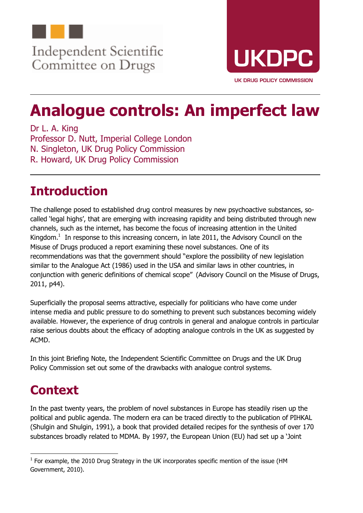

Committee on Drugs



# **Analogue controls: An imperfect law**

Dr L. A. King Professor D. Nutt, Imperial College London N. Singleton, UK Drug Policy Commission R. Howard, UK Drug Policy Commission

# **Introduction**

The challenge posed to established drug control measures by new psychoactive substances, socalled 'legal highs', that are emerging with increasing rapidity and being distributed through new channels, such as the internet, has become the focus of increasing attention in the United Kingdom.<sup>1</sup> In response to this increasing concern, in late 2011, the Advisory Council on the Misuse of Drugs produced a report examining these novel substances. One of its recommendations was that the government should "explore the possibility of new legislation similar to the Analogue Act (1986) used in the USA and similar laws in other countries, in conjunction with generic definitions of chemical scope" (Advisory Council on the Misuse of Drugs, 2011, p44).

Superficially the proposal seems attractive, especially for politicians who have come under intense media and public pressure to do something to prevent such substances becoming widely available. However, the experience of drug controls in general and analogue controls in particular raise serious doubts about the efficacy of adopting analogue controls in the UK as suggested by ACMD.

In this joint Briefing Note, the Independent Scientific Committee on Drugs and the UK Drug Policy Commission set out some of the drawbacks with analogue control systems.

# **Context**

In the past twenty years, the problem of novel substances in Europe has steadily risen up the political and public agenda. The modern era can be traced directly to the publication of PIHKAL (Shulgin and Shulgin, 1991), a book that provided detailed recipes for the synthesis of over 170 substances broadly related to MDMA. By 1997, the European Union (EU) had set up a 'Joint

<sup>1</sup>  $<sup>1</sup>$  For example, the 2010 Drug Strategy in the UK incorporates specific mention of the issue (HM</sup> Government, 2010).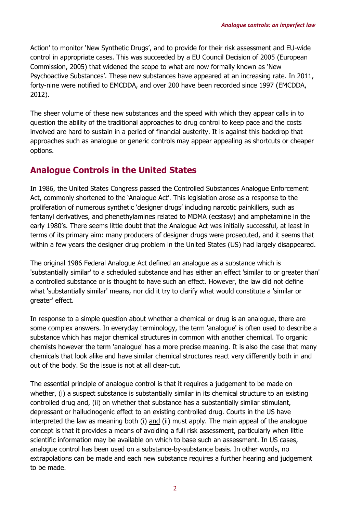Action' to monitor 'New Synthetic Drugs', and to provide for their risk assessment and EU-wide control in appropriate cases. This was succeeded by a EU Council Decision of 2005 (European Commission, 2005) that widened the scope to what are now formally known as 'New Psychoactive Substances'. These new substances have appeared at an increasing rate. In 2011, forty-nine were notified to EMCDDA, and over 200 have been recorded since 1997 (EMCDDA, 2012).

The sheer volume of these new substances and the speed with which they appear calls in to question the ability of the traditional approaches to drug control to keep pace and the costs involved are hard to sustain in a period of financial austerity. It is against this backdrop that approaches such as analogue or generic controls may appear appealing as shortcuts or cheaper options.

### **Analogue Controls in the United States**

In 1986, the United States Congress passed the Controlled Substances Analogue Enforcement Act, commonly shortened to the 'Analogue Act'. This legislation arose as a response to the proliferation of numerous synthetic 'designer drugs' including narcotic painkillers, such as fentanyl derivatives, and phenethylamines related to MDMA (ecstasy) and amphetamine in the early 1980's. There seems little doubt that the Analogue Act was initially successful, at least in terms of its primary aim: many producers of designer drugs were prosecuted, and it seems that within a few years the designer drug problem in the United States (US) had largely disappeared.

The original 1986 Federal Analogue Act defined an analogue as a substance which is 'substantially similar' to a scheduled substance and has either an effect 'similar to or greater than' a controlled substance or is thought to have such an effect. However, the law did not define what 'substantially similar' means, nor did it try to clarify what would constitute a 'similar or greater' effect.

In response to a simple question about whether a chemical or drug is an analogue, there are some complex answers. In everyday terminology, the term 'analogue' is often used to describe a substance which has major chemical structures in common with another chemical. To organic chemists however the term 'analogue' has a more precise meaning. It is also the case that many chemicals that look alike and have similar chemical structures react very differently both in and out of the body. So the issue is not at all clear-cut.

The essential principle of analogue control is that it requires a judgement to be made on whether, (i) a suspect substance is substantially similar in its chemical structure to an existing controlled drug and, (ii) on whether that substance has a substantially similar stimulant, depressant or hallucinogenic effect to an existing controlled drug. Courts in the US have interpreted the law as meaning both (i) and (ii) must apply. The main appeal of the analogue concept is that it provides a means of avoiding a full risk assessment, particularly when little scientific information may be available on which to base such an assessment. In US cases, analogue control has been used on a substance-by-substance basis. In other words, no extrapolations can be made and each new substance requires a further hearing and judgement to be made.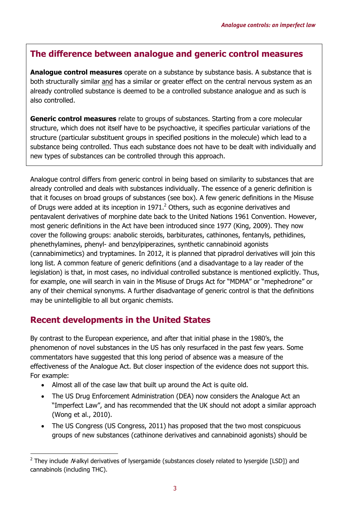### **The difference between analogue and generic control measures**

**Analogue control measures** operate on a substance by substance basis. A substance that is both structurally similar and has a similar or greater effect on the central nervous system as an already controlled substance is deemed to be a controlled substance analogue and as such is also controlled.

**Generic control measures** relate to groups of substances. Starting from a core molecular structure, which does not itself have to be psychoactive, it specifies particular variations of the structure (particular substituent groups in specified positions in the molecule) which lead to a substance being controlled. Thus each substance does not have to be dealt with individually and new types of substances can be controlled through this approach.

Analogue control differs from generic control in being based on similarity to substances that are already controlled and deals with substances individually. The essence of a generic definition is that it focuses on broad groups of substances (see box). A few generic definitions in the Misuse of Drugs were added at its inception in 1971. $^2$  Others, such as ecgonine derivatives and pentavalent derivatives of morphine date back to the United Nations 1961 Convention. However, most generic definitions in the Act have been introduced since 1977 (King, 2009). They now cover the following groups: anabolic steroids, barbiturates, cathinones, fentanyls, pethidines, phenethylamines, phenyl- and benzylpiperazines, synthetic cannabinoid agonists (cannabimimetics) and tryptamines. In 2012, it is planned that pipradrol derivatives will join this long list. A common feature of generic definitions (and a disadvantage to a lay reader of the legislation) is that, in most cases, no individual controlled substance is mentioned explicitly. Thus, for example, one will search in vain in the Misuse of Drugs Act for "MDMA" or "mephedrone" or any of their chemical synonyms. A further disadvantage of generic control is that the definitions may be unintelligible to all but organic chemists.

### **Recent developments in the United States**

By contrast to the European experience, and after that initial phase in the 1980's, the phenomenon of novel substances in the US has only resurfaced in the past few years. Some commentators have suggested that this long period of absence was a measure of the effectiveness of the Analogue Act. But closer inspection of the evidence does not support this. For example:

- Almost all of the case law that built up around the Act is quite old.
- The US Drug Enforcement Administration (DEA) now considers the Analogue Act an "Imperfect Law", and has recommended that the UK should not adopt a similar approach (Wong et al., 2010).
- The US Congress (US Congress, 2011) has proposed that the two most conspicuous groups of new substances (cathinone derivatives and cannabinoid agonists) should be

<sup>1</sup>  $2$  They include Malkyl derivatives of lysergamide (substances closely related to lysergide [LSD]) and cannabinols (including THC).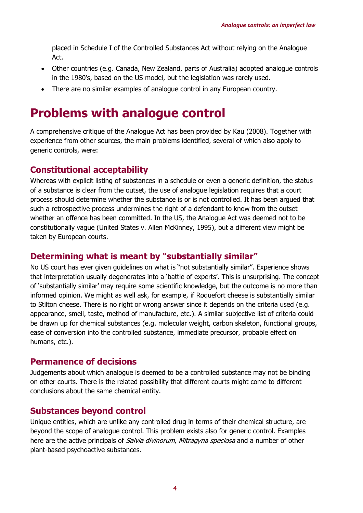placed in Schedule I of the Controlled Substances Act without relying on the Analogue Act.

- Other countries (e.g. Canada, New Zealand, parts of Australia) adopted analogue controls in the 1980's, based on the US model, but the legislation was rarely used.
- There are no similar examples of analogue control in any European country.

### **Problems with analogue control**

A comprehensive critique of the Analogue Act has been provided by Kau (2008). Together with experience from other sources, the main problems identified, several of which also apply to generic controls, were:

#### **Constitutional acceptability**

Whereas with explicit listing of substances in a schedule or even a generic definition, the status of a substance is clear from the outset, the use of analogue legislation requires that a court process should determine whether the substance is or is not controlled. It has been argued that such a retrospective process undermines the right of a defendant to know from the outset whether an offence has been committed. In the US, the Analogue Act was deemed not to be constitutionally vague (United States v. Allen McKinney, 1995), but a different view might be taken by European courts.

#### **Determining what is meant by "substantially similar"**

No US court has ever given guidelines on what is "not substantially similar". Experience shows that interpretation usually degenerates into a 'battle of experts'. This is unsurprising. The concept of 'substantially similar' may require some scientific knowledge, but the outcome is no more than informed opinion. We might as well ask, for example, if Roquefort cheese is substantially similar to Stilton cheese. There is no right or wrong answer since it depends on the criteria used (e.g. appearance, smell, taste, method of manufacture, etc.). A similar subjective list of criteria could be drawn up for chemical substances (e.g. molecular weight, carbon skeleton, functional groups, ease of conversion into the controlled substance, immediate precursor, probable effect on humans, etc.).

#### **Permanence of decisions**

Judgements about which analogue is deemed to be a controlled substance may not be binding on other courts. There is the related possibility that different courts might come to different conclusions about the same chemical entity.

#### **Substances beyond control**

Unique entities, which are unlike any controlled drug in terms of their chemical structure, are beyond the scope of analogue control. This problem exists also for generic control. Examples here are the active principals of Salvia divinorum, Mitragyna speciosa and a number of other plant-based psychoactive substances.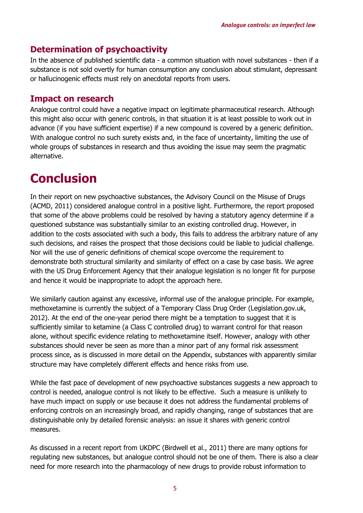### **Determination of psychoactivity**

In the absence of published scientific data - a common situation with novel substances - then if a substance is not sold overtly for human consumption any conclusion about stimulant, depressant or hallucinogenic effects must rely on anecdotal reports from users.

#### **Impact on research**

Analogue control could have a negative impact on legitimate pharmaceutical research. Although this might also occur with generic controls, in that situation it is at least possible to work out in advance (if you have sufficient expertise) if a new compound is covered by a generic definition. With analogue control no such surety exists and, in the face of uncertainty, limiting the use of whole groups of substances in research and thus avoiding the issue may seem the pragmatic alternative.

# **Conclusion**

In their report on new psychoactive substances, the Advisory Council on the Misuse of Drugs (ACMD, 2011) considered analogue control in a positive light. Furthermore, the report proposed that some of the above problems could be resolved by having a statutory agency determine if a questioned substance was substantially similar to an existing controlled drug. However, in addition to the costs associated with such a body, this fails to address the arbitrary nature of any such decisions, and raises the prospect that those decisions could be liable to judicial challenge. Nor will the use of generic definitions of chemical scope overcome the requirement to demonstrate both structural similarity and similarity of effect on a case by case basis. We agree with the US Drug Enforcement Agency that their analogue legislation is no longer fit for purpose and hence it would be inappropriate to adopt the approach here.

We similarly caution against any excessive, informal use of the analogue principle. For example, methoxetamine is currently the subject of a Temporary Class Drug Order (Legislation.gov.uk, 2012). At the end of the one-year period there might be a temptation to suggest that it is sufficiently similar to ketamine (a Class C controlled drug) to warrant control for that reason alone, without specific evidence relating to methoxetamine itself. However, analogy with other substances should never be seen as more than a minor part of any formal risk assessment process since, as is discussed in more detail on the Appendix, substances with apparently similar structure may have completely different effects and hence risks from use.

While the fast pace of development of new psychoactive substances suggests a new approach to control is needed, analogue control is not likely to be effective. Such a measure is unlikely to have much impact on supply or use because it does not address the fundamental problems of enforcing controls on an increasingly broad, and rapidly changing, range of substances that are distinguishable only by detailed forensic analysis: an issue it shares with generic control measures.

As discussed in a recent report from UKDPC (Birdwell et al., 2011) there are many options for regulating new substances, but analogue control should not be one of them. There is also a clear need for more research into the pharmacology of new drugs to provide robust information to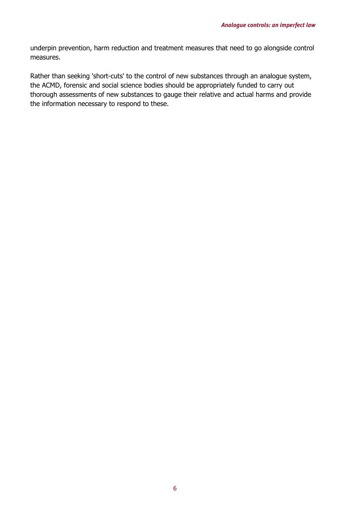underpin prevention, harm reduction and treatment measures that need to go alongside control measures.

Rather than seeking 'short-cuts' to the control of new substances through an analogue system, the ACMD, forensic and social science bodies should be appropriately funded to carry out thorough assessments of new substances to gauge their relative and actual harms and provide the information necessary to respond to these.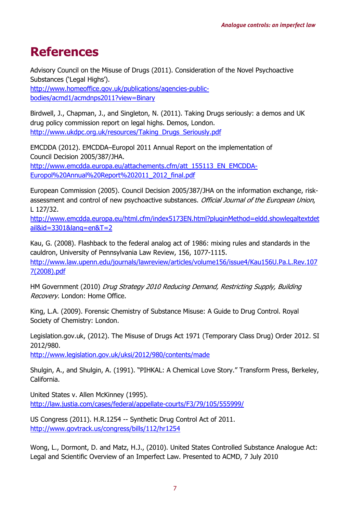## **References**

Advisory Council on the Misuse of Drugs (2011). Consideration of the Novel Psychoactive Substances ('Legal Highs'). http://www.homeoffice.gov.uk/publications/agencies-publicbodies/acmd1/acmdnps2011?view=Binary

Birdwell, J., Chapman, J., and Singleton, N. (2011). Taking Drugs seriously: a demos and UK drug policy commission report on legal highs. Demos, London. http://www.ukdpc.org.uk/resources/Taking\_Drugs\_Seriously.pdf

EMCDDA (2012). EMCDDA–Europol 2011 Annual Report on the implementation of Council Decision 2005/387/JHA. http://www.emcdda.europa.eu/attachements.cfm/att\_155113\_EN\_EMCDDA-Europol%20Annual%20Report%202011\_2012\_final.pdf

European Commission (2005). Council Decision 2005/387/JHA on the information exchange, riskassessment and control of new psychoactive substances. Official Journal of the European Union, L 127/32.

http://www.emcdda.europa.eu/html.cfm/index5173EN.html?pluginMethod=eldd.showlegaltextdet ail&id=3301&lang=en&T=2

Kau, G. (2008). Flashback to the federal analog act of 1986: mixing rules and standards in the cauldron, University of Pennsylvania Law Review, 156, 1077-1115. http://www.law.upenn.edu/journals/lawreview/articles/volume156/issue4/Kau156U.Pa.L.Rev.107 7(2008).pdf

HM Government (2010) Drug Strategy 2010 Reducing Demand, Restricting Supply, Building Recovery. London: Home Office.

King, L.A. (2009). Forensic Chemistry of Substance Misuse: A Guide to Drug Control. Royal Society of Chemistry: London.

Legislation.gov.uk, (2012). The Misuse of Drugs Act 1971 (Temporary Class Drug) Order 2012. SI 2012/980.

http://www.legislation.gov.uk/uksi/2012/980/contents/made

Shulgin, A., and Shulgin, A. (1991). "PIHKAL: A Chemical Love Story." Transform Press, Berkeley, California.

United States v. Allen McKinney (1995). http://law.justia.com/cases/federal/appellate-courts/F3/79/105/555999/

US Congress (2011). H.R.1254 -- Synthetic Drug Control Act of 2011. http://www.govtrack.us/congress/bills/112/hr1254

Wong, L., Dormont, D. and Matz, H.J., (2010). United States Controlled Substance Analogue Act: Legal and Scientific Overview of an Imperfect Law. Presented to ACMD, 7 July 2010